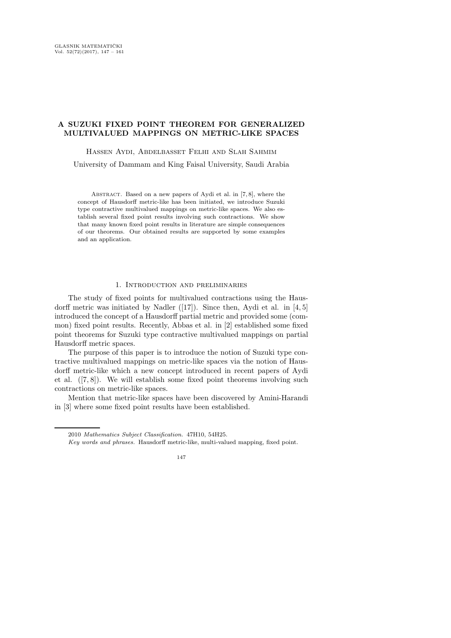# A SUZUKI FIXED POINT THEOREM FOR GENERALIZED MULTIVALUED MAPPINGS ON METRIC-LIKE SPACES

Hassen Aydi, Abdelbasset Felhi and Slah Sahmim

University of Dammam and King Faisal University, Saudi Arabia

ABSTRACT. Based on a new papers of Aydi et al. in [7,8], where the concept of Hausdorff metric-like has been initiated, we introduce Suzuki type contractive multivalued mappings on metric-like spaces. We also establish several fixed point results involving such contractions. We show that many known fixed point results in literature are simple consequences of our theorems. Our obtained results are supported by some examples and an application.

## 1. Introduction and preliminaries

The study of fixed points for multivalued contractions using the Hausdorff metric was initiated by Nadler  $([17])$ . Since then, Aydi et al. in  $[4, 5]$ introduced the concept of a Hausdorff partial metric and provided some (common) fixed point results. Recently, Abbas et al. in [2] established some fixed point theorems for Suzuki type contractive multivalued mappings on partial Hausdorff metric spaces.

The purpose of this paper is to introduce the notion of Suzuki type contractive multivalued mappings on metric-like spaces via the notion of Hausdorff metric-like which a new concept introduced in recent papers of Aydi et al. ([7, 8]). We will establish some fixed point theorems involving such contractions on metric-like spaces.

Mention that metric-like spaces have been discovered by Amini-Harandi in [3] where some fixed point results have been established.

<sup>2010</sup> Mathematics Subject Classification. 47H10, 54H25.

Key words and phrases. Hausdorff metric-like, multi-valued mapping, fixed point.

<sup>147</sup>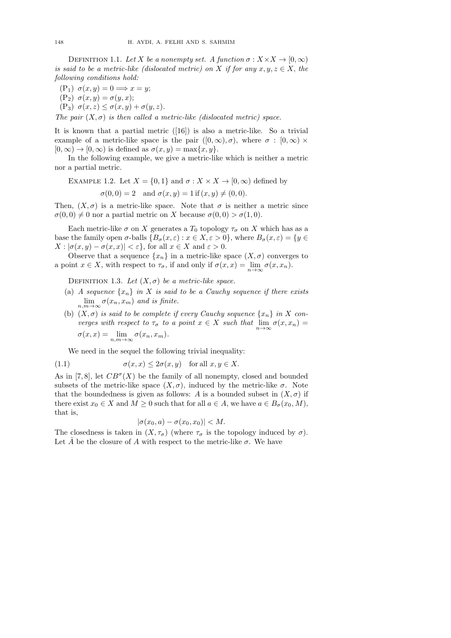DEFINITION 1.1. *Let* X *be a nonempty set.* A function  $\sigma : X \times X \to [0, \infty)$ *is said to be a metric-like (dislocated metric) on* X *if for any*  $x, y, z \in X$ , the *following conditions hold:*

 $(P_1) \sigma(x, y) = 0 \Longrightarrow x = y;$ (P<sub>2</sub>)  $\sigma(x, y) = \sigma(y, x);$ (P<sub>3</sub>)  $\sigma(x, z) \leq \sigma(x, y) + \sigma(y, z)$ .

*The pair*  $(X, \sigma)$  *is then called a metric-like (dislocated metric) space.* 

It is known that a partial metric  $(16)$  is also a metric-like. So a trivial example of a metric-like space is the pair  $([0,\infty),\sigma)$ , where  $\sigma : [0,\infty) \times$  $[0, \infty) \rightarrow [0, \infty)$  is defined as  $\sigma(x, y) = \max\{x, y\}.$ 

In the following example, we give a metric-like which is neither a metric nor a partial metric.

EXAMPLE 1.2. Let  $X = \{0, 1\}$  and  $\sigma : X \times X \to [0, \infty)$  defined by

$$
\sigma(0,0) = 2
$$
 and  $\sigma(x,y) = 1$  if  $(x, y) \neq (0,0)$ .

Then,  $(X, \sigma)$  is a metric-like space. Note that  $\sigma$  is neither a metric since  $\sigma(0,0) \neq 0$  nor a partial metric on X because  $\sigma(0,0) > \sigma(1,0)$ .

Each metric-like  $\sigma$  on X generates a  $T_0$  topology  $\tau_{\sigma}$  on X which has as a base the family open  $\sigma$ -balls  $\{B_{\sigma}(x,\varepsilon): x \in X, \varepsilon > 0\}$ , where  $B_{\sigma}(x,\varepsilon) = \{y \in$  $X: |\sigma(x, y) - \sigma(x, x)| < \varepsilon$ , for all  $x \in X$  and  $\varepsilon > 0$ .

Observe that a sequence  $\{x_n\}$  in a metric-like space  $(X, \sigma)$  converges to a point  $x \in X$ , with respect to  $\tau_{\sigma}$ , if and only if  $\sigma(x, x) = \lim_{n \to \infty} \sigma(x, x_n)$ .

DEFINITION 1.3. Let  $(X, \sigma)$  be a metric-like space.

- (a) *A sequence*  $\{x_n\}$  *in X is said to be a Cauchy sequence if there exists*  $\lim_{n,m\to\infty}\sigma(x_n,x_m)$  and is finite.
- (b)  $(X, \sigma)$  *is said to be complete if every Cauchy sequence*  $\{x_n\}$  *in* X *converges with respect to*  $\tau_{\sigma}$  *to a point*  $x \in X$  *such that*  $\lim_{n \to \infty} \sigma(x, x_n) =$  $\sigma(x,x) = \lim_{n,m \to \infty} \sigma(x_n, x_m).$

We need in the sequel the following trivial inequality:

(1.1) 
$$
\sigma(x, x) \le 2\sigma(x, y) \quad \text{for all } x, y \in X.
$$

As in [7,8], let  $CB^{\sigma}(X)$  be the family of all nonempty, closed and bounded subsets of the metric-like space  $(X, \sigma)$ , induced by the metric-like  $\sigma$ . Note that the boundedness is given as follows: A is a bounded subset in  $(X, \sigma)$  if there exist  $x_0 \in X$  and  $M \geq 0$  such that for all  $a \in A$ , we have  $a \in B_{\sigma}(x_0, M)$ , that is,

$$
|\sigma(x_0, a) - \sigma(x_0, x_0)| < M.
$$

The closedness is taken in  $(X, \tau_{\sigma})$  (where  $\tau_{\sigma}$  is the topology induced by  $\sigma$ ). Let  $\overline{A}$  be the closure of A with respect to the metric-like  $\sigma$ . We have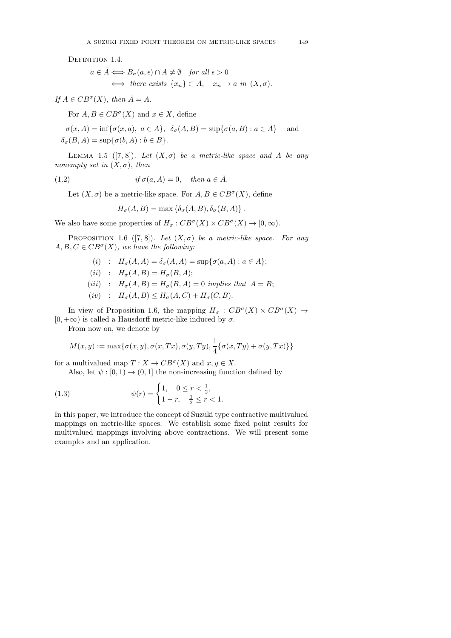DEFINITION 1.4.

$$
a \in \overline{A} \iff B_{\sigma}(a, \epsilon) \cap A \neq \emptyset \quad \text{for all } \epsilon > 0
$$
  

$$
\iff \text{there exists } \{x_n\} \subset A, \quad x_n \to a \text{ in } (X, \sigma).
$$

*If*  $A \in CB^{\sigma}(X)$ *, then*  $\overline{A} = A$ *.* 

For  $A, B \in CB^{\sigma}(X)$  and  $x \in X$ , define

 $\sigma(x, A) = \inf \{ \sigma(x, a), a \in A \}, \ \delta_{\sigma}(A, B) = \sup \{ \sigma(a, B) : a \in A \}$  and  $\delta_{\sigma}(B, A) = \sup \{ \sigma(b, A) : b \in B \}.$ 

LEMMA 1.5 ([7, 8]). Let  $(X, \sigma)$  be a metric-like space and A be any *nonempty set in*  $(X, \sigma)$ *, then* 

(1.2) 
$$
if \sigma(a, A) = 0, \quad then \ a \in \overline{A}.
$$

Let  $(X, \sigma)$  be a metric-like space. For  $A, B \in CB^{\sigma}(X)$ , define

$$
H_{\sigma}(A, B) = \max \{ \delta_{\sigma}(A, B), \delta_{\sigma}(B, A) \}.
$$

We also have some properties of  $H_{\sigma}: CB^{\sigma}(X) \times CB^{\sigma}(X) \to [0, \infty)$ .

PROPOSITION 1.6 ([7, 8]). *Let*  $(X, \sigma)$  *be a metric-like space. For any*  $A, B, C \in CB^{\sigma}(X)$ , we have the following:

(i) : 
$$
H_{\sigma}(A, A) = \delta_{\sigma}(A, A) = \sup{\{\sigma(a, A) : a \in A\}}
$$
;  
\n(ii) :  $H_{\sigma}(A, B) = H_{\sigma}(B, A)$ ;  
\n(iii) :  $H_{\sigma}(A, B) = H_{\sigma}(B, A) = 0$  implies that  $A = B$ ;  
\n(i)  $\sigma_{\sigma}(A, B) = \sigma_{\sigma}(A, B) = \sigma_{\sigma}(A, B) = \sigma_{\sigma}(A, B)$ 

(iv) :  $H_{\sigma}(A, B) \leq H_{\sigma}(A, C) + H_{\sigma}(C, B).$ 

In view of Proposition 1.6, the mapping  $H_{\sigma} : CB^{\sigma}(X) \times CB^{\sigma}(X) \rightarrow$  $[0, +\infty)$  is called a Hausdorff metric-like induced by  $\sigma$ .

From now on, we denote by

$$
M(x,y) := \max\{\sigma(x,y), \sigma(x,Tx), \sigma(y,Ty), \frac{1}{4}\{\sigma(x,Ty) + \sigma(y,Tx)\}\}
$$

for a multivalued map  $T: X \to CB^{\sigma}(X)$  and  $x, y \in X$ .

Also, let  $\psi : [0, 1) \to (0, 1]$  the non-increasing function defined by

(1.3) 
$$
\psi(r) = \begin{cases} 1, & 0 \le r < \frac{1}{2}, \\ 1 - r, & \frac{1}{2} \le r < 1. \end{cases}
$$

In this paper, we introduce the concept of Suzuki type contractive multivalued mappings on metric-like spaces. We establish some fixed point results for multivalued mappings involving above contractions. We will present some examples and an application.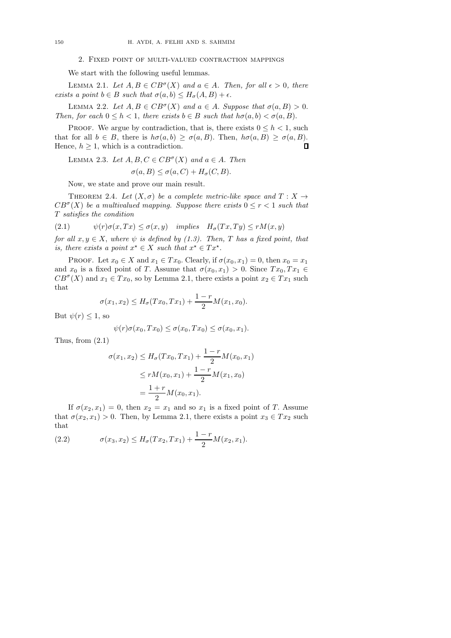### 2. Fixed point of multi-valued contraction mappings

We start with the following useful lemmas.

LEMMA 2.1. Let  $A, B \in CB^{\sigma}(X)$  and  $a \in A$ . Then, for all  $\epsilon > 0$ , there *exists a point*  $b \in B$  *such that*  $\sigma(a, b) \leq H_{\sigma}(A, B) + \epsilon$ .

LEMMA 2.2. Let  $A, B \in CB^{\sigma}(X)$  and  $a \in A$ . Suppose that  $\sigma(a, B) > 0$ . *Then, for each*  $0 \leq h < 1$ *, there exists*  $b \in B$  *such that*  $h\sigma(a, b) < \sigma(a, B)$ *.* 

PROOF. We argue by contradiction, that is, there exists  $0 \leq h < 1$ , such that for all  $b \in B$ , there is  $h\sigma(a, b) \geq \sigma(a, B)$ . Then,  $h\sigma(a, B) \geq \sigma(a, B)$ . Hence,  $h \geq 1$ , which is a contradiction.  $\mathbf{\Pi}$ 

LEMMA 2.3. Let  $A, B, C \in CB^{\sigma}(X)$  and  $a \in A$ . Then

 $\sigma(a, B) \leq \sigma(a, C) + H_{\sigma}(C, B).$ 

Now, we state and prove our main result.

THEOREM 2.4. Let  $(X, \sigma)$  be a complete metric-like space and  $T : X \rightarrow$  $CB^{\sigma}(X)$  be a multivalued mapping. Suppose there exists  $0 \leq r < 1$  such that T *satisfies the condition*

(2.1) 
$$
\psi(r)\sigma(x,Tx) \le \sigma(x,y) \quad implies \quad H_{\sigma}(Tx,Ty) \le rM(x,y)
$$

*for all*  $x, y \in X$ *, where*  $\psi$  *is defined by (1.3). Then, T has a fixed point, that is, there exists a point*  $x^* \in X$  *such that*  $x^* \in Tx^*$ .

PROOF. Let  $x_0 \in X$  and  $x_1 \in Tx_0$ . Clearly, if  $\sigma(x_0, x_1) = 0$ , then  $x_0 = x_1$ and  $x_0$  is a fixed point of T. Assume that  $\sigma(x_0, x_1) > 0$ . Since  $Tx_0, Tx_1 \in$  $CB^{\sigma}(X)$  and  $x_1 \in Tx_0$ , so by Lemma 2.1, there exists a point  $x_2 \in Tx_1$  such that

$$
\sigma(x_1, x_2) \le H_{\sigma}(Tx_0, Tx_1) + \frac{1-r}{2}M(x_1, x_0).
$$

But  $\psi(r) \leq 1$ , so

$$
\psi(r)\sigma(x_0,Tx_0) \le \sigma(x_0,Tx_0) \le \sigma(x_0,x_1).
$$

Thus, from (2.1)

$$
\sigma(x_1, x_2) \le H_{\sigma}(Tx_0, Tx_1) + \frac{1-r}{2}M(x_0, x_1)
$$
  
\n
$$
\le rM(x_0, x_1) + \frac{1-r}{2}M(x_1, x_0)
$$
  
\n
$$
= \frac{1+r}{2}M(x_0, x_1).
$$

If  $\sigma(x_2, x_1) = 0$ , then  $x_2 = x_1$  and so  $x_1$  is a fixed point of T. Assume that  $\sigma(x_2, x_1) > 0$ . Then, by Lemma 2.1, there exists a point  $x_3 \in Tx_2$  such that

(2.2) 
$$
\sigma(x_3, x_2) \leq H_{\sigma}(Tx_2, Tx_1) + \frac{1-r}{2}M(x_2, x_1).
$$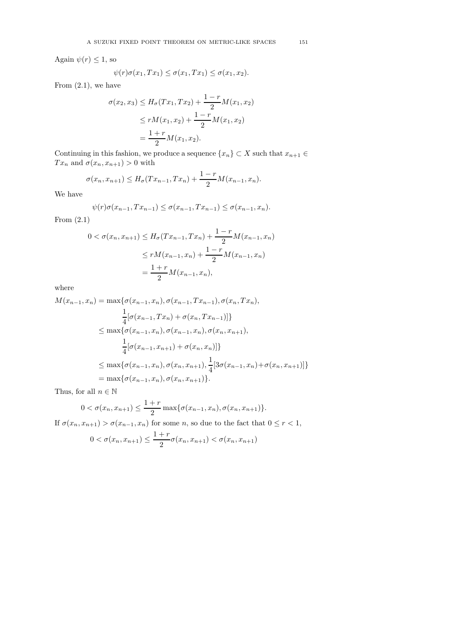Again  $\psi(r) \leq 1$ , so

$$
\psi(r)\sigma(x_1, Tx_1) \le \sigma(x_1, Tx_1) \le \sigma(x_1, x_2).
$$

From  $(2.1)$ , we have

$$
\sigma(x_2, x_3) \le H_{\sigma}(Tx_1, Tx_2) + \frac{1-r}{2}M(x_1, x_2)
$$
  
\n
$$
\le rM(x_1, x_2) + \frac{1-r}{2}M(x_1, x_2)
$$
  
\n
$$
= \frac{1+r}{2}M(x_1, x_2).
$$

Continuing in this fashion, we produce a sequence  $\{x_n\} \subset X$  such that  $x_{n+1} \in$  $Tx_n$  and  $\sigma(x_n, x_{n+1}) > 0$  with

$$
\sigma(x_n, x_{n+1}) \leq H_{\sigma}(Tx_{n-1}, Tx_n) + \frac{1-r}{2}M(x_{n-1}, x_n).
$$

We have

$$
\psi(r)\sigma(x_{n-1}, Tx_{n-1}) \leq \sigma(x_{n-1}, Tx_{n-1}) \leq \sigma(x_{n-1}, x_n).
$$

From (2.1)

$$
0 < \sigma(x_n, x_{n+1}) \leq H_{\sigma}(Tx_{n-1}, Tx_n) + \frac{1-r}{2}M(x_{n-1}, x_n)
$$
\n
$$
\leq rM(x_{n-1}, x_n) + \frac{1-r}{2}M(x_{n-1}, x_n)
$$
\n
$$
= \frac{1+r}{2}M(x_{n-1}, x_n),
$$

where

$$
M(x_{n-1}, x_n) = \max \{ \sigma(x_{n-1}, x_n), \sigma(x_{n-1}, Tx_{n-1}), \sigma(x_n, Tx_n),
$$
  
\n
$$
\frac{1}{4} [\sigma(x_{n-1}, Tx_n) + \sigma(x_n, Tx_{n-1})] \}
$$
  
\n
$$
\leq \max \{ \sigma(x_{n-1}, x_n), \sigma(x_{n-1}, x_n), \sigma(x_n, x_{n+1}),
$$
  
\n
$$
\frac{1}{4} [\sigma(x_{n-1}, x_{n+1}) + \sigma(x_n, x_n)] \}
$$
  
\n
$$
\leq \max \{ \sigma(x_{n-1}, x_n), \sigma(x_n, x_{n+1}), \frac{1}{4} [3\sigma(x_{n-1}, x_n) + \sigma(x_n, x_{n+1})] \}
$$
  
\n
$$
= \max \{ \sigma(x_{n-1}, x_n), \sigma(x_n, x_{n+1}) \}.
$$

Thus, for all  $n \in \mathbb{N}$ 

$$
0 < \sigma(x_n, x_{n+1}) \le \frac{1+r}{2} \max \{ \sigma(x_{n-1}, x_n), \sigma(x_n, x_{n+1}) \}.
$$

If  $\sigma(x_n, x_{n+1}) > \sigma(x_{n-1}, x_n)$  for some n, so due to the fact that  $0 \le r < 1$ ,

$$
0 < \sigma(x_n, x_{n+1}) \le \frac{1+r}{2}\sigma(x_n, x_{n+1}) < \sigma(x_n, x_{n+1})
$$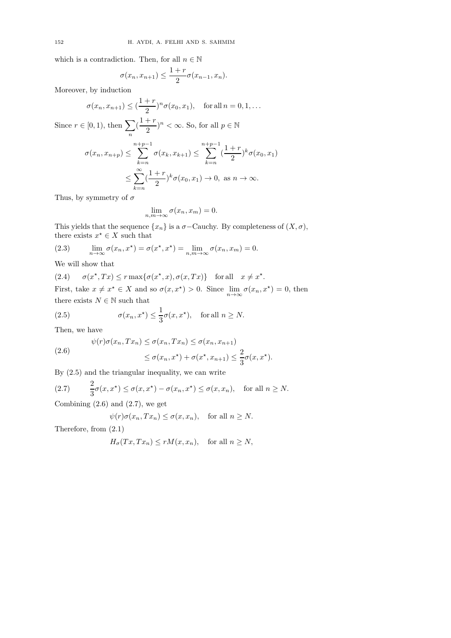which is a contradiction. Then, for all  $n \in \mathbb{N}$ 

$$
\sigma(x_n, x_{n+1}) \le \frac{1+r}{2} \sigma(x_{n-1}, x_n).
$$

Moreover, by induction

$$
\sigma(x_n, x_{n+1}) \leq \left(\frac{1+r}{2}\right)^n \sigma(x_0, x_1), \quad \text{for all } n = 0, 1, \dots
$$

Since  $r \in [0, 1)$ , then  $\sum$ n  $\left(\frac{1+r}{2}\right)$  $\frac{1+r}{2}$ <sup>n</sup> <  $\infty$ . So, for all  $p \in \mathbb{N}$ 

$$
\sigma(x_n, x_{n+p}) \leq \sum_{k=n}^{n+p-1} \sigma(x_k, x_{k+1}) \leq \sum_{k=n}^{n+p-1} \left(\frac{1+r}{2}\right)^k \sigma(x_0, x_1)
$$
  

$$
\leq \sum_{k=n}^{\infty} \left(\frac{1+r}{2}\right)^k \sigma(x_0, x_1) \to 0, \text{ as } n \to \infty.
$$

Thus, by symmetry of  $\sigma$ 

$$
\lim_{n,m \to \infty} \sigma(x_n, x_m) = 0.
$$

This yields that the sequence  $\{x_n\}$  is a  $\sigma$ -Cauchy. By completeness of  $(X, \sigma)$ , there exists  $x^* \in X$  such that

(2.3) 
$$
\lim_{n \to \infty} \sigma(x_n, x^*) = \sigma(x^*, x^*) = \lim_{n,m \to \infty} \sigma(x_n, x_m) = 0.
$$

We will show that

(2.4) 
$$
\sigma(x^*, Tx) \le r \max{\{\sigma(x^*, x), \sigma(x, Tx)\}}
$$
 for all  $x \ne x^*$ .  
First, take  $x \ne x^* \in X$  and so  $\sigma(x, x^*) > 0$ . Since  $\lim_{n \to \infty} \sigma(x_n, x^*) = 0$ , then there exists  $N \in \mathbb{N}$  such that

(2.5) 
$$
\sigma(x_n, x^*) \leq \frac{1}{3}\sigma(x, x^*), \text{ for all } n \geq N.
$$

Then, we have

(2.6)  

$$
\psi(r)\sigma(x_n, Tx_n) \leq \sigma(x_n, Tx_n) \leq \sigma(x_n, x_{n+1})
$$

$$
\leq \sigma(x_n, x^*) + \sigma(x^*, x_{n+1}) \leq \frac{2}{3}\sigma(x, x^*).
$$

By (2.5) and the triangular inequality, we can write

(2.7) 
$$
\frac{2}{3}\sigma(x, x^*) \leq \sigma(x, x^*) - \sigma(x_n, x^*) \leq \sigma(x, x_n), \text{ for all } n \geq N.
$$

Combining  $(2.6)$  and  $(2.7)$ , we get

$$
\psi(r)\sigma(x_n, Tx_n) \leq \sigma(x, x_n)
$$
, for all  $n \geq N$ .

Therefore, from (2.1)

$$
H_{\sigma}(Tx, Tx_n) \le rM(x, x_n), \text{ for all } n \ge N,
$$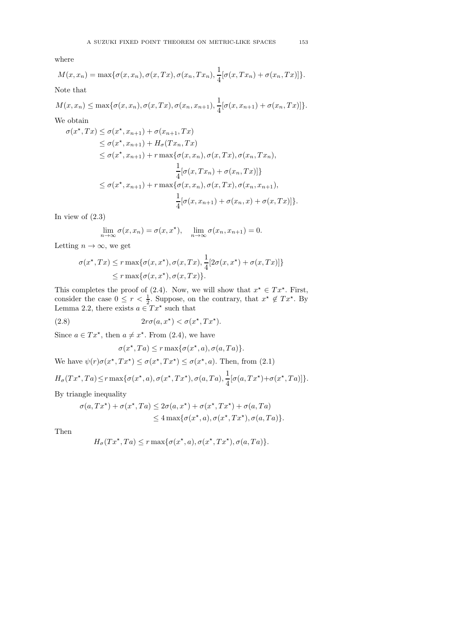where

$$
M(x, x_n) = \max\{\sigma(x, x_n), \sigma(x, Tx), \sigma(x_n, Tx_n), \frac{1}{4}[\sigma(x, Tx_n) + \sigma(x_n, Tx)]\}.
$$

Note that

$$
M(x, x_n) \le \max{\{\sigma(x, x_n), \sigma(x, Tx), \sigma(x_n, x_{n+1}), \frac{1}{4}[\sigma(x, x_{n+1}) + \sigma(x_n, Tx)]\}}.
$$

We obtain

$$
\sigma(x^*, Tx) \leq \sigma(x^*, x_{n+1}) + \sigma(x_{n+1}, Tx)
$$
  
\n
$$
\leq \sigma(x^*, x_{n+1}) + H_{\sigma}(Tx_n, Tx)
$$
  
\n
$$
\leq \sigma(x^*, x_{n+1}) + r \max{\{\sigma(x, x_n), \sigma(x, Tx), \sigma(x_n, Tx_n),\}} \frac{1}{4} [\sigma(x, Tx_n) + \sigma(x_n, Tx)]\}
$$
  
\n
$$
\leq \sigma(x^*, x_{n+1}) + r \max{\{\sigma(x, x_n), \sigma(x, Tx), \sigma(x_n, x_{n+1}),\}} \frac{1}{4} [\sigma(x, x_{n+1}) + \sigma(x_n, x) + \sigma(x, Tx)]\}.
$$

In view of  $(2.3)$ 

$$
\lim_{n \to \infty} \sigma(x, x_n) = \sigma(x, x^*), \quad \lim_{n \to \infty} \sigma(x_n, x_{n+1}) = 0.
$$

Letting  $n \to \infty$ , we get

$$
\sigma(x^*, Tx) \le r \max \{ \sigma(x, x^*), \sigma(x, Tx), \frac{1}{4} [2\sigma(x, x^*) + \sigma(x, Tx)] \}
$$
  
 
$$
\le r \max \{ \sigma(x, x^*), \sigma(x, Tx) \}.
$$

This completes the proof of (2.4). Now, we will show that  $x^* \in Tx^*$ . First, consider the case  $0 \leq r < \frac{1}{2}$ . Suppose, on the contrary, that  $x^* \notin Tx^*$ . By Lemma 2.2, there exists  $a \in Tx^*$  such that

(2.8) 
$$
2r\sigma(a, x^*) < \sigma(x^*, Tx^*).
$$

Since  $a \in Tx^*$ , then  $a \neq x^*$ . From (2.4), we have

$$
\sigma(x^\star,Ta)\leq r\max\{\sigma(x^\star,a),\sigma(a,Ta)\}.
$$

We have  $\psi(r)\sigma(x^*,Tx^*) \leq \sigma(x^*,Tx^*) \leq \sigma(x^*,a)$ . Then, from (2.1)

 $H_{\sigma}(Tx^{\star}, Ta) \leq r \max\{\sigma(x^{\star}, a), \sigma(x^{\star}, Tx^{\star}), \sigma(a, Ta), \frac{1}{4}\}$  $\frac{1}{4}[\sigma(a,Tx^*)+\sigma(x^*,Ta)]\}.$ 

By triangle inequality

$$
\sigma(a,Tx^*) + \sigma(x^*,Ta) \leq 2\sigma(a,x^*) + \sigma(x^*,Tx^*) + \sigma(a,Ta)
$$
  

$$
\leq 4 \max{\sigma(x^*,a), \sigma(x^*,Tx^*), \sigma(a,Ta)}.
$$

Then

$$
H_{\sigma}(Tx^{\star}, Ta) \leq r \max \{ \sigma(x^{\star}, a), \sigma(x^{\star}, Tx^{\star}), \sigma(a, Ta) \}.
$$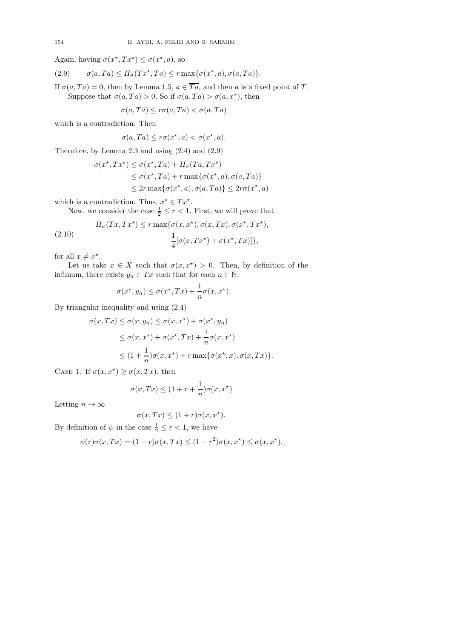Again, having  $\sigma(x^*, Tx^*) \leq \sigma(x^*, a)$ , so

$$
(2.9) \qquad \sigma(a,Ta) \le H_{\sigma}(Tx^{\star},Ta) \le r \max\{\sigma(x^{\star},a),\sigma(a,Ta)\}.
$$

If  $\sigma(a, Ta) = 0$ , then by Lemma 1.5,  $a \in \overline{Ta}$ , and then a is a fixed point of T. Suppose that  $\sigma(a, Ta) > 0$ . So if  $\sigma(a, Ta) > \sigma(a, x^*)$ , then

$$
\sigma(a, Ta) \le r\sigma(a, Ta) < \sigma(a, Ta)
$$

which is a contradiction. Then

$$
\sigma(a,Ta) \le r\sigma(x^\star, a) < \sigma(x^\star, a).
$$

Therefore, by Lemma 2.3 and using (2.4) and (2.9)

$$
\sigma(x^*, Tx^*) \leq \sigma(x^*, Ta) + H_{\sigma}(Ta, Tx^*)
$$
  
\n
$$
\leq \sigma(x^*, Ta) + r \max{\sigma(x^*, a), \sigma(a, Ta)}
$$
  
\n
$$
\leq 2r \max{\sigma(x^*, a), \sigma(a, Ta)} \leq 2r \sigma(x^*, a)
$$

which is a contradiction. Thus,  $x^* \in Tx^*$ .

Now, we consider the case  $\frac{1}{2} \leq r < 1$ . First, we will prove that

(2.10) 
$$
H_{\sigma}(Tx, Tx^*) \le r \max{\{\sigma(x, x^*), \sigma(x, Tx), \sigma(x^*, Tx^*)\}}
$$

$$
\frac{1}{4}[\sigma(x, Tx^*) + \sigma(x^*, Tx)]\},
$$

for all  $x \neq x^*$ .

Let us take  $x \in X$  such that  $\sigma(x, x^*) > 0$ . Then, by definition of the infimum, there exists  $y_n \in Tx$  such that for each  $n \in \mathbb{N}$ ,

$$
\sigma(x^*, y_n) \le \sigma(x^*, Tx) + \frac{1}{n}\sigma(x, x^*).
$$

By triangular inequality and using (2.4)

$$
\sigma(x,Tx) \leq \sigma(x,y_n) \leq \sigma(x,x^*) + \sigma(x^*,y_n)
$$
  
\n
$$
\leq \sigma(x,x^*) + \sigma(x^*,Tx) + \frac{1}{n}\sigma(x,x^*)
$$
  
\n
$$
\leq (1+\frac{1}{n})\sigma(x,x^*) + r \max{\sigma(x^*,x),\sigma(x,Tx)}.
$$

CASE 1: If  $\sigma(x, x^*) \geq \sigma(x, Tx)$ , then

$$
\sigma(x,Tx) \le (1+r+\frac{1}{n})\sigma(x,x^\star)
$$

Letting  $n \to \infty$ 

$$
\sigma(x,Tx) \le (1+r)\sigma(x,x^*).
$$

By definition of  $\psi$  in the case  $\frac{1}{2} \leq r < 1$ , we have

$$
\psi(r)\sigma(x,Tx) = (1-r)\sigma(x,Tx) \le (1-r^2)\sigma(x,x^*) \le \sigma(x,x^*).
$$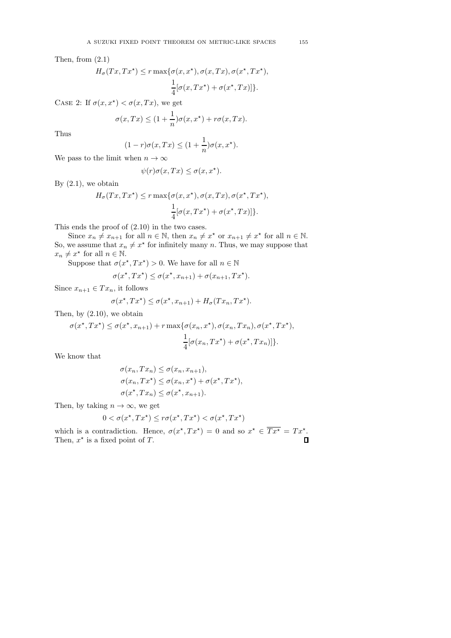Then, from (2.1)

$$
H_{\sigma}(Tx, Tx^*) \le r \max\{\sigma(x, x^*), \sigma(x, Tx), \sigma(x^*, Tx^*),\}
$$

$$
\frac{1}{4}[\sigma(x, Tx^*) + \sigma(x^*, Tx)]\}.
$$

CASE 2: If  $\sigma(x, x^*) < \sigma(x, Tx)$ , we get

$$
\sigma(x,Tx) \le (1+\frac{1}{n})\sigma(x,x^*) + r\sigma(x,Tx).
$$

Thus

$$
(1-r)\sigma(x,Tx) \le (1+\frac{1}{n})\sigma(x,x^{\star}).
$$

We pass to the limit when  $n\to\infty$ 

$$
\psi(r)\sigma(x,Tx) \le \sigma(x,x^\star).
$$

By  $(2.1)$ , we obtain

$$
H_{\sigma}(Tx, Tx^*) \le r \max{\{\sigma(x, x^*), \sigma(x, Tx), \sigma(x^*, Tx^*)\}},
$$

$$
\frac{1}{4}[\sigma(x, Tx^*) + \sigma(x^*, Tx)]\}.
$$

This ends the proof of (2.10) in the two cases.

Since  $x_n \neq x_{n+1}$  for all  $n \in \mathbb{N}$ , then  $x_n \neq x^*$  or  $x_{n+1} \neq x^*$  for all  $n \in \mathbb{N}$ . So, we assume that  $x_n \neq x^*$  for infinitely many n. Thus, we may suppose that  $x_n \neq x^*$  for all  $n \in \mathbb{N}$ .

Suppose that  $\sigma(x^*, Tx^*) > 0$ . We have for all  $n \in \mathbb{N}$ 

$$
\sigma(x^\star, Tx^\star) \le \sigma(x^\star, x_{n+1}) + \sigma(x_{n+1}, Tx^\star).
$$

Since  $x_{n+1} \in Tx_n$ , it follows

$$
\sigma(x^\star, Tx^\star) \le \sigma(x^\star, x_{n+1}) + H_\sigma(Tx_n, Tx^\star).
$$

Then, by (2.10), we obtain

$$
\sigma(x^*, Tx^*) \le \sigma(x^*, x_{n+1}) + r \max\{\sigma(x_n, x^*), \sigma(x_n, Tx_n), \sigma(x^*, Tx^*),
$$

$$
\frac{1}{4} [\sigma(x_n, Tx^*) + \sigma(x^*, Tx_n)]\}.
$$

We know that

$$
\sigma(x_n, Tx_n) \leq \sigma(x_n, x_{n+1}),
$$
  
\n
$$
\sigma(x_n, Tx^*) \leq \sigma(x_n, x^*) + \sigma(x^*, Tx^*),
$$
  
\n
$$
\sigma(x^*, Tx_n) \leq \sigma(x^*, x_{n+1}).
$$

Then, by taking  $n \to \infty$ , we get

$$
0 < \sigma(x^\star, Tx^\star) \le r\sigma(x^\star, Tx^\star) < \sigma(x^\star, Tx^\star)
$$

which is a contradiction. Hence,  $\sigma(x^*, Tx^*) = 0$  and so  $x^* \in \overline{Tx^*} = Tx^*$ . Then,  $x^*$  is a fixed point of T.  $\Box$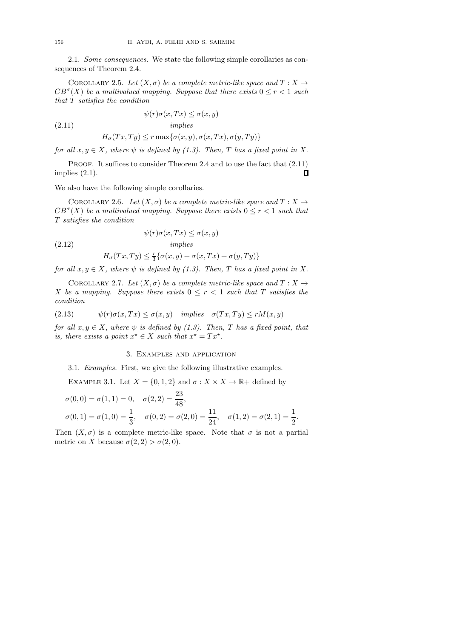2.1. *Some consequences.* We state the following simple corollaries as consequences of Theorem 2.4.

COROLLARY 2.5. Let  $(X, \sigma)$  be a complete metric-like space and  $T : X \rightarrow$  $CB^{\sigma}(X)$  be a multivalued mapping. Suppose that there exists  $0 \leq r < 1$  such *that* T *satisfies the condition*

$$
\psi(r)\sigma(x,Tx) \le \sigma(x,y)
$$
  
implies

$$
H_{\sigma}(Tx, Ty) \le r \max\{\sigma(x, y), \sigma(x, Tx), \sigma(y, Ty)\}\
$$

*for all*  $x, y \in X$ *, where*  $\psi$  *is defined by (1.3). Then, T has a fixed point in X*.

PROOF. It suffices to consider Theorem 2.4 and to use the fact that  $(2.11)$ implies (2.1).  $\Box$ 

We also have the following simple corollaries.

COROLLARY 2.6. *Let*  $(X, \sigma)$  *be a complete metric-like space and*  $T : X \rightarrow$  $CB^{\sigma}(X)$  be a multivalued mapping. Suppose there exists  $0 \leq r < 1$  such that T *satisfies the condition*

(2.12) 
$$
\psi(r)\sigma(x,Tx) \le \sigma(x,y)
$$
  
implies  

$$
H_{\sigma}(Tx,Ty) \le \frac{r}{3}\{\sigma(x,y) + \sigma(x,Tx) + \sigma(y,Ty)\}
$$

*for all*  $x, y \in X$ *, where*  $\psi$  *is defined by (1.3). Then, T has a fixed point in X*.

COROLLARY 2.7. Let  $(X, \sigma)$  be a complete metric-like space and  $T : X \rightarrow$ X *be a mapping. Suppose there exists*  $0 \leq r < 1$  *such that* T *satisfies the condition*

(2.13) 
$$
\psi(r)\sigma(x,Tx) \le \sigma(x,y) \quad implies \quad \sigma(Tx,Ty) \le rM(x,y)
$$

*for all*  $x, y \in X$ *, where*  $\psi$  *is defined by (1.3). Then,*  $T$  *has a fixed point, that is, there exists a point*  $x^* \in X$  *such that*  $x^* = Tx^*$ .

#### 3. Examples and application

3.1. *Examples.* First, we give the following illustrative examples.

EXAMPLE 3.1. Let  $X = \{0, 1, 2\}$  and  $\sigma : X \times X \to \mathbb{R}$ + defined by

$$
\sigma(0,0) = \sigma(1,1) = 0, \quad \sigma(2,2) = \frac{23}{48},
$$
  

$$
\sigma(0,1) = \sigma(1,0) = \frac{1}{3}, \quad \sigma(0,2) = \sigma(2,0) = \frac{11}{24}, \quad \sigma(1,2) = \sigma(2,1) = \frac{1}{2}.
$$

Then  $(X, \sigma)$  is a complete metric-like space. Note that  $\sigma$  is not a partial metric on X because  $\sigma(2,2) > \sigma(2,0)$ .

 $(2.11)$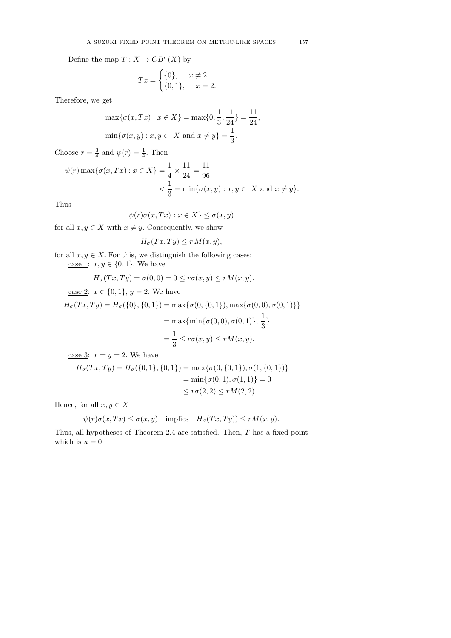Define the map  $T: X \to CB^{\sigma}(X)$  by

$$
Tx = \begin{cases} \{0\}, & x \neq 2 \\ \{0, 1\}, & x = 2. \end{cases}
$$

Therefore, we get

$$
\max\{\sigma(x,Tx) : x \in X\} = \max\{0, \frac{1}{3}, \frac{11}{24}\} = \frac{11}{24},
$$
  

$$
\min\{\sigma(x,y) : x, y \in X \text{ and } x \neq y\} = \frac{1}{3}.
$$

Choose  $r = \frac{3}{4}$  and  $\psi(r) = \frac{1}{4}$ . Then

$$
\psi(r) \max \{ \sigma(x, Tx) : x \in X \} = \frac{1}{4} \times \frac{11}{24} = \frac{11}{96}
$$
  

$$
< \frac{1}{3} = \min \{ \sigma(x, y) : x, y \in X \text{ and } x \neq y \}.
$$

Thus

$$
\psi(r)\sigma(x,Tx) : x \in X\} \le \sigma(x,y)
$$

for all  $x, y \in X$  with  $x \neq y$ . Consequently, we show

$$
H_{\sigma}(Tx, Ty) \le r M(x, y),
$$

for all  $x, y \in X$ . For this, we distinguish the following cases: case 1:  $x, y \in \{0, 1\}$ . We have

$$
H_{\sigma}(Tx, Ty) = \sigma(0, 0) = 0 \leq r\sigma(x, y) \leq rM(x, y).
$$

case 2:  $x \in \{0, 1\}$ ,  $y = 2$ . We have  $H_{\sigma}(Tx,Ty)=H_{\sigma}(\{0\},\{0,1\})=\max\{\sigma(0,\{0,1\}),\max\{\sigma(0,0),\sigma(0,1)\}\}$ = max{min{ $\sigma(0,0), \sigma(0,1)$ },  $\frac{1}{2}$  $\frac{1}{3}$  $=\frac{1}{2}$  $\frac{1}{3} \leq r\sigma(x,y) \leq rM(x,y).$ 

case 3:  $x = y = 2$ . We have

$$
H_{\sigma}(Tx, Ty) = H_{\sigma}(\{0, 1\}, \{0, 1\}) = \max{\{\sigma(0, \{0, 1\}), \sigma(1, \{0, 1\})\}}
$$
  
=  $\min{\{\sigma(0, 1), \sigma(1, 1)\}} = 0$   
 $\leq r\sigma(2, 2) \leq rM(2, 2).$ 

Hence, for all  $x, y \in X$ 

$$
\psi(r)\sigma(x,Tx) \le \sigma(x,y) \quad \text{implies} \quad H_{\sigma}(Tx,Ty)) \le rM(x,y).
$$

Thus, all hypotheses of Theorem 2.4 are satisfied. Then, T has a fixed point which is  $u = 0$ .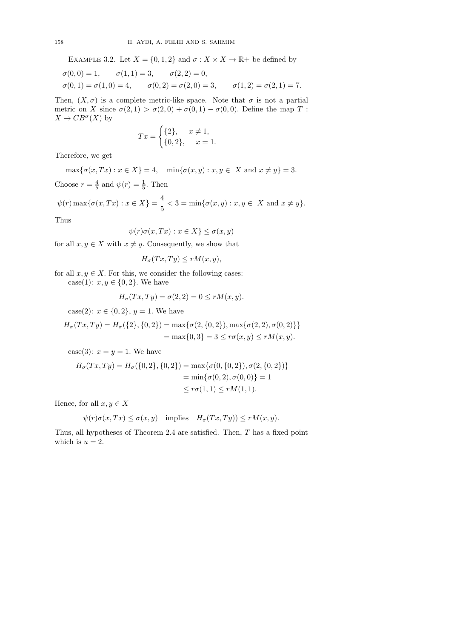EXAMPLE 3.2. Let  $X = \{0, 1, 2\}$  and  $\sigma : X \times X \to \mathbb{R}$  be defined by

$$
\begin{aligned}\n\sigma(0,0) &= 1, & \sigma(1,1) &= 3, & \sigma(2,2) &= 0, \\
\sigma(0,1) &= \sigma(1,0) &= 4, & \sigma(0,2) &= \sigma(2,0) &= 3, & \sigma(1,2) &= \sigma(2,1) &= 7.\n\end{aligned}
$$

Then,  $(X, \sigma)$  is a complete metric-like space. Note that  $\sigma$  is not a partial metric on X since  $\sigma(2,1) > \sigma(2,0) + \sigma(0,1) - \sigma(0,0)$ . Define the map T:  $X \to CB^{\sigma}(X)$  by

$$
Tx = \begin{cases} \{2\}, & x \neq 1, \\ \{0, 2\}, & x = 1. \end{cases}
$$

Therefore, we get

 $\max\{\sigma(x,Tx): x \in X\} = 4, \quad \min\{\sigma(x,y): x, y \in X \text{ and } x \neq y\} = 3.$ Choose  $r = \frac{4}{5}$  and  $\psi(r) = \frac{1}{5}$ . Then

$$
\psi(r) \max\{\sigma(x,Tx) : x \in X\} = \frac{4}{5} < 3 = \min\{\sigma(x,y) : x, y \in X \text{ and } x \neq y\}.
$$

Thus

$$
\psi(r)\sigma(x,Tx) : x \in X\} \le \sigma(x,y)
$$

for all  $x, y \in X$  with  $x \neq y$ . Consequently, we show that

$$
H_{\sigma}(Tx, Ty) \le rM(x, y),
$$

for all  $x, y \in X$ . For this, we consider the following cases: case(1):  $x, y \in \{0, 2\}$ . We have

$$
H_{\sigma}(Tx, Ty) = \sigma(2, 2) = 0 \leq rM(x, y).
$$

case(2):  $x \in \{0, 2\}$ ,  $y = 1$ . We have

$$
H_{\sigma}(Tx, Ty) = H_{\sigma}(\{2\}, \{0, 2\}) = \max\{\sigma(2, \{0, 2\}), \max\{\sigma(2, 2), \sigma(0, 2)\}\}
$$
  
= max $\{0, 3\} = 3 \le r\sigma(x, y) \le rM(x, y).$ 

case(3):  $x = y = 1$ . We have

$$
H_{\sigma}(Tx, Ty) = H_{\sigma}(\{0, 2\}, \{0, 2\}) = \max\{\sigma(0, \{0, 2\}), \sigma(2, \{0, 2\})\}
$$
  
=  $\min\{\sigma(0, 2), \sigma(0, 0)\} = 1$   
 $\leq r\sigma(1, 1) \leq rM(1, 1).$ 

Hence, for all  $x, y \in X$ 

$$
\psi(r)\sigma(x,Tx) \le \sigma(x,y) \quad \text{implies} \quad H_{\sigma}(Tx,Ty)) \le rM(x,y).
$$

Thus, all hypotheses of Theorem 2.4 are satisfied. Then, T has a fixed point which is  $u = 2$ .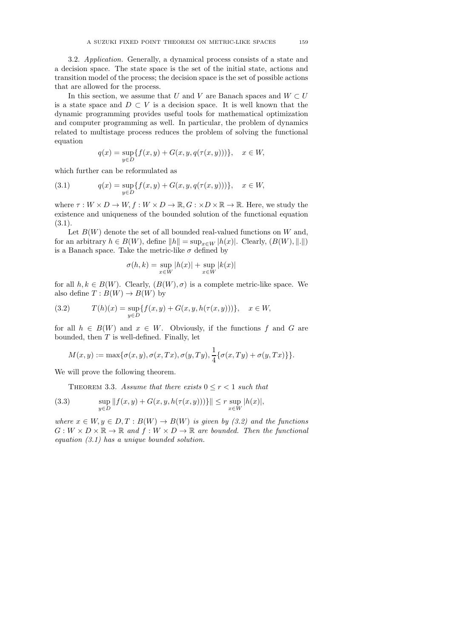3.2. *Application.* Generally, a dynamical process consists of a state and a decision space. The state space is the set of the initial state, actions and transition model of the process; the decision space is the set of possible actions that are allowed for the process.

In this section, we assume that U and V are Banach spaces and  $W \subset U$ is a state space and  $D \subset V$  is a decision space. It is well known that the dynamic programming provides useful tools for mathematical optimization and computer programming as well. In particular, the problem of dynamics related to multistage process reduces the problem of solving the functional equation

$$
q(x) = \sup_{y \in D} \{ f(x, y) + G(x, y, q(\tau(x, y))) \}, \quad x \in W,
$$

which further can be reformulated as

(3.1) 
$$
q(x) = \sup_{y \in D} \{ f(x, y) + G(x, y, q(\tau(x, y))) \}, \quad x \in W,
$$

where  $\tau: W \times D \to W, f: W \times D \to \mathbb{R}, G: \times D \times \mathbb{R} \to \mathbb{R}$ . Here, we study the existence and uniqueness of the bounded solution of the functional equation (3.1).

Let  $B(W)$  denote the set of all bounded real-valued functions on W and, for an arbitrary  $h \in B(W)$ , define  $||h|| = \sup_{x \in W} |h(x)|$ . Clearly,  $(B(W), ||.||)$ is a Banach space. Take the metric-like  $\sigma$  defined by

$$
\sigma(h,k) = \sup_{x \in W} |h(x)| + \sup_{x \in W} |k(x)|
$$

for all  $h, k \in B(W)$ . Clearly,  $(B(W), \sigma)$  is a complete metric-like space. We also define  $T : B(W) \to B(W)$  by

(3.2) 
$$
T(h)(x) = \sup_{y \in D} \{ f(x, y) + G(x, y, h(\tau(x, y))) \}, \quad x \in W,
$$

for all  $h \in B(W)$  and  $x \in W$ . Obviously, if the functions f and G are bounded, then  $T$  is well-defined. Finally, let

$$
M(x,y) := \max\{\sigma(x,y), \sigma(x,Tx), \sigma(y,Ty), \frac{1}{4}\{\sigma(x,Ty) + \sigma(y,Tx)\}\}.
$$

We will prove the following theorem.

THEOREM 3.3. *Assume that there exists*  $0 \leq r \leq 1$  *such that* 

(3.3) 
$$
\sup_{y \in D} ||f(x, y) + G(x, y, h(\tau(x, y)))|| \leq r \sup_{x \in W} |h(x)|,
$$

*where*  $x \in W, y \in D, T : B(W) \rightarrow B(W)$  *is given by (3.2) and the functions*  $G: W \times D \times \mathbb{R} \to \mathbb{R}$  and  $f: W \times D \to \mathbb{R}$  are bounded. Then the functional *equation (3.1) has a unique bounded solution.*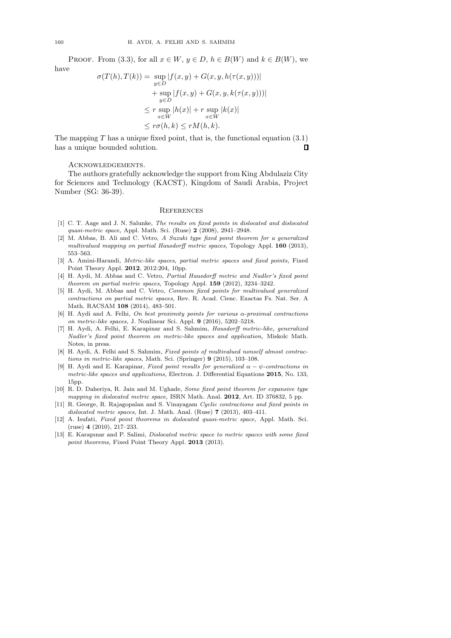PROOF. From (3.3), for all  $x \in W$ ,  $y \in D$ ,  $h \in B(W)$  and  $k \in B(W)$ , we have

$$
\sigma(T(h), T(k)) = \sup_{y \in D} |f(x, y) + G(x, y, h(\tau(x, y)))|
$$
  
+ 
$$
\sup_{y \in D} |f(x, y) + G(x, y, k(\tau(x, y)))|
$$
  

$$
\leq r \sup_{x \in W} |h(x)| + r \sup_{x \in W} |k(x)|
$$
  

$$
\leq r\sigma(h, k) \leq rM(h, k).
$$

The mapping  $T$  has a unique fixed point, that is, the functional equation  $(3.1)$ has a unique bounded solution.  $\Box$ 

# Acknowledgements.

The authors gratefully acknowledge the support from King Abdulaziz City for Sciences and Technology (KACST), Kingdom of Saudi Arabia, Project Number (SG: 36-39).

## **REFERENCES**

- [1] C. T. Aage and J. N. Salunke, The results on fixed points in dislocated and dislocated quasi-metric space, Appl. Math. Sci. (Ruse) 2 (2008), 2941–2948.
- [2] M. Abbas, B. Ali and C. Vetro, A Suzuki type fixed point theorem for a generalized multivalued mapping on partial Hausdorff metric spaces, Topology Appl. 160 (2013), 553–563.
- [3] A. Amini-Harandi, Metric-like spaces, partial metric spaces and fixed points, Fixed Point Theory Appl. 2012, 2012:204, 10pp.
- [4] H. Aydi, M. Abbas and C. Vetro, Partial Hausdorff metric and Nadler's fixed point theorem on partial metric spaces, Topology Appl. 159 (2012), 3234–3242.
- [5] H. Aydi, M. Abbas and C. Vetro, Common fixed points for multivalued generalized contractions on partial metric spaces, Rev. R. Acad. Cienc. Exactas Fs. Nat. Ser. A Math. RACSAM 108 (2014), 483–501.
- [6] H. Aydi and A. Felhi, On best proximity points for various  $\alpha$ -proximal contractions on metric-like spaces, J. Nonlinear Sci. Appl. 9 (2016), 5202–5218.
- [7] H. Aydi, A. Felhi, E. Karapinar and S. Sahmim, Hausdorff metric-like, generalized Nadler's fixed point theorem on metric-like spaces and application, Miskolc Math. Notes, in press.
- [8] H. Aydi, A. Felhi and S. Sahmim, Fixed points of multivalued nonself almost contractions in metric-like spaces, Math. Sci. (Springer) 9 (2015), 103–108.
- [9] H. Aydi and E. Karapinar, Fixed point results for generalized  $\alpha \psi$ -contractions in metric-like spaces and applications, Electron. J. Differential Equations 2015, No. 133, 15pp.
- [10] R. D. Daheriya, R. Jain and M. Ughade, Some fixed point theorem for expansive type mapping in dislocated metric space, ISRN Math. Anal. 2012, Art. ID 376832, 5 pp.
- [11] R. George, R. Rajagopalan and S. Vinayagam Cyclic contractions and fixed points in dislocated metric spaces, Int. J. Math. Anal. (Ruse) 7 (2013), 403-411.
- [12] A. Isufati, Fixed point theorems in dislocated quasi-metric space, Appl. Math. Sci. (ruse) 4 (2010), 217–233.
- [13] E. Karapınar and P. Salimi, Dislocated metric space to metric spaces with some fixed point theorems, Fixed Point Theory Appl. 2013 (2013).